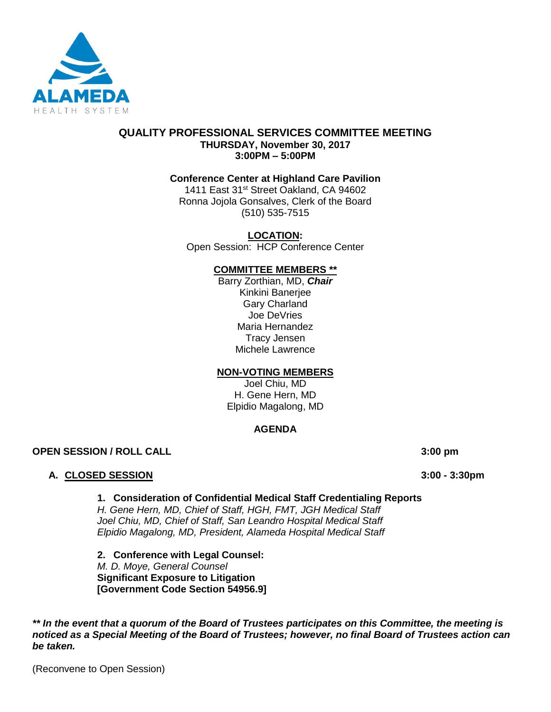

### **QUALITY PROFESSIONAL SERVICES COMMITTEE MEETING THURSDAY, November 30, 2017 3:00PM – 5:00PM**

### **Conference Center at Highland Care Pavilion**

1411 East 31<sup>st</sup> Street Oakland, CA 94602 Ronna Jojola Gonsalves, Clerk of the Board (510) 535-7515

**LOCATION:** Open Session: HCP Conference Center

### **COMMITTEE MEMBERS \*\***

Barry Zorthian, MD, *Chair* Kinkini Banerjee Gary Charland Joe DeVries Maria Hernandez Tracy Jensen Michele Lawrence

### **NON-VOTING MEMBERS**

Joel Chiu, MD H. Gene Hern, MD Elpidio Magalong, MD

### **AGENDA**

**OPEN SESSION / ROLL CALL 3:00 pm**

### **A. CLOSED SESSION 3:00 - 3:30pm**

### **1. Consideration of Confidential Medical Staff Credentialing Reports**

*H. Gene Hern, MD, Chief of Staff, HGH, FMT, JGH Medical Staff Joel Chiu, MD, Chief of Staff, San Leandro Hospital Medical Staff Elpidio Magalong, MD, President, Alameda Hospital Medical Staff* 

**2. Conference with Legal Counsel:**  *M. D. Moye, General Counsel* **Significant Exposure to Litigation [Government Code Section 54956.9]**

*\*\* In the event that a quorum of the Board of Trustees participates on this Committee, the meeting is noticed as a Special Meeting of the Board of Trustees; however, no final Board of Trustees action can be taken.*

(Reconvene to Open Session)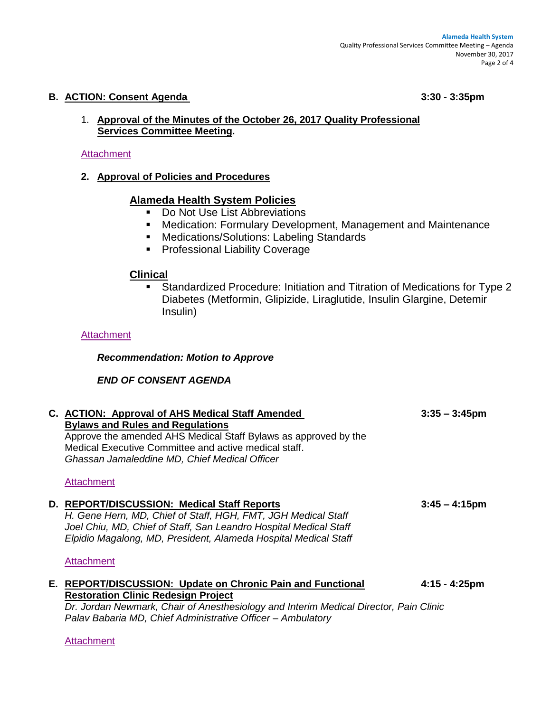### **B. ACTION: Consent Agenda 3:30 - 3:35pm**

### 1. **Approval of the Minutes of the October 26, 2017 Quality Professional Services Committee Meeting.**

### **[Attachment](http://www.alamedahealthsystem.org/wp-content/uploads/2017/11/Tab-B1-Consent.pdf)**

**2. Approval of Policies and Procedures**

# **Alameda Health System Policies**

- Do Not Use List Abbreviations
- Medication: Formulary Development, Management and Maintenance
- Medications/Solutions: Labeling Standards
- Professional Liability Coverage

## **Clinical**

■ Standardized Procedure: Initiation and Titration of Medications for Type 2 Diabetes (Metformin, Glipizide, Liraglutide, Insulin Glargine, Detemir Insulin)

### **[Attachment](http://www.alamedahealthsystem.org/wp-content/uploads/2017/11/Tab-B2-Consent.pdf)**

*Recommendation: Motion to Approve*

## *END OF CONSENT AGENDA*

| C. ACTION: Approval of AHS Medical Staff Amended                                      | $3:35 - 3:45$ pm        |
|---------------------------------------------------------------------------------------|-------------------------|
| <b>Bylaws and Rules and Regulations</b>                                               |                         |
| Approve the amended AHS Medical Staff Bylaws as approved by the                       |                         |
| Medical Executive Committee and active medical staff.                                 |                         |
| Ghassan Jamaleddine MD, Chief Medical Officer                                         |                         |
|                                                                                       |                         |
| <b>Attachment</b>                                                                     |                         |
|                                                                                       |                         |
| D. REPORT/DISCUSSION: Medical Staff Reports                                           | $3:45 - 4:15 \text{pm}$ |
| H. Gene Hern, MD, Chief of Staff, HGH, FMT, JGH Medical Staff                         |                         |
| Joel Chiu, MD, Chief of Staff, San Leandro Hospital Medical Staff                     |                         |
| Elpidio Magalong, MD, President, Alameda Hospital Medical Staff                       |                         |
|                                                                                       |                         |
| Attachment                                                                            |                         |
| E. REPORT/DISCUSSION: Update on Chronic Pain and Functional                           | $4:15 - 4:25 \text{pm}$ |
| <b>Restoration Clinic Redesign Project</b>                                            |                         |
| Dr. Jordan Newmark, Chair of Anesthesiology and Interim Medical Director, Pain Clinic |                         |
| Palav Babaria MD, Chief Administrative Officer - Ambulatory                           |                         |
|                                                                                       |                         |

### **[Attachment](http://www.alamedahealthsystem.org/wp-content/uploads/2017/11/Tab-E-Converted.pdf)**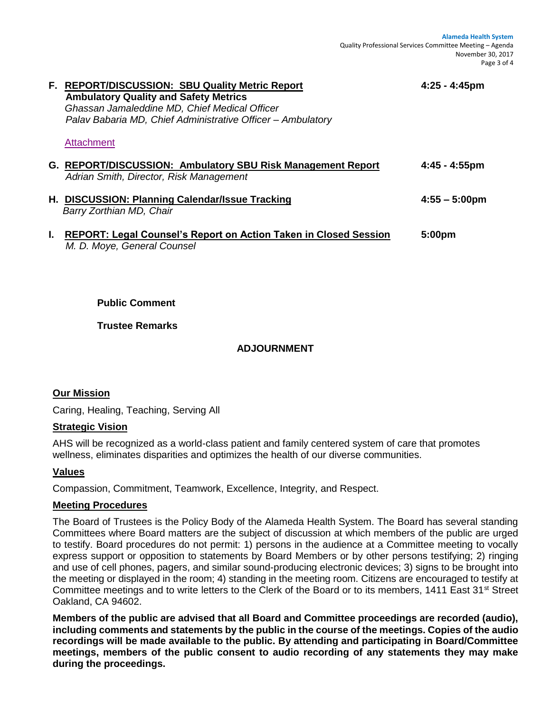**Alameda Health System** Quality Professional Services Committee Meeting – Agenda November 30, 2017 Page 3 of 4

| F. REPORT/DISCUSSION: SBU Quality Metric Report<br><b>Ambulatory Quality and Safety Metrics</b><br>Ghassan Jamaleddine MD, Chief Medical Officer<br>Palav Babaria MD, Chief Administrative Officer - Ambulatory<br><b>Attachment</b> | $4:25 - 4:45$ pm        |
|--------------------------------------------------------------------------------------------------------------------------------------------------------------------------------------------------------------------------------------|-------------------------|
| G. REPORT/DISCUSSION: Ambulatory SBU Risk Management Report<br>Adrian Smith, Director, Risk Management                                                                                                                               | $4:45 - 4:55$ pm        |
| H. DISCUSSION: Planning Calendar/Issue Tracking<br>Barry Zorthian MD, Chair                                                                                                                                                          | $4:55 - 5:00 \text{pm}$ |
| <b>REPORT: Legal Counsel's Report on Action Taken in Closed Session</b><br>M. D. Moye, General Counsel                                                                                                                               | 5:00pm                  |

**Public Comment**

**Trustee Remarks**

## **ADJOURNMENT**

## **Our Mission**

Caring, Healing, Teaching, Serving All

### **Strategic Vision**

AHS will be recognized as a world-class patient and family centered system of care that promotes wellness, eliminates disparities and optimizes the health of our diverse communities.

### **Values**

Compassion, Commitment, Teamwork, Excellence, Integrity, and Respect.

### **Meeting Procedures**

The Board of Trustees is the Policy Body of the Alameda Health System. The Board has several standing Committees where Board matters are the subject of discussion at which members of the public are urged to testify. Board procedures do not permit: 1) persons in the audience at a Committee meeting to vocally express support or opposition to statements by Board Members or by other persons testifying; 2) ringing and use of cell phones, pagers, and similar sound-producing electronic devices; 3) signs to be brought into the meeting or displayed in the room; 4) standing in the meeting room. Citizens are encouraged to testify at Committee meetings and to write letters to the Clerk of the Board or to its members, 1411 East 31<sup>st</sup> Street Oakland, CA 94602.

**Members of the public are advised that all Board and Committee proceedings are recorded (audio), including comments and statements by the public in the course of the meetings. Copies of the audio recordings will be made available to the public. By attending and participating in Board/Committee meetings, members of the public consent to audio recording of any statements they may make during the proceedings.**